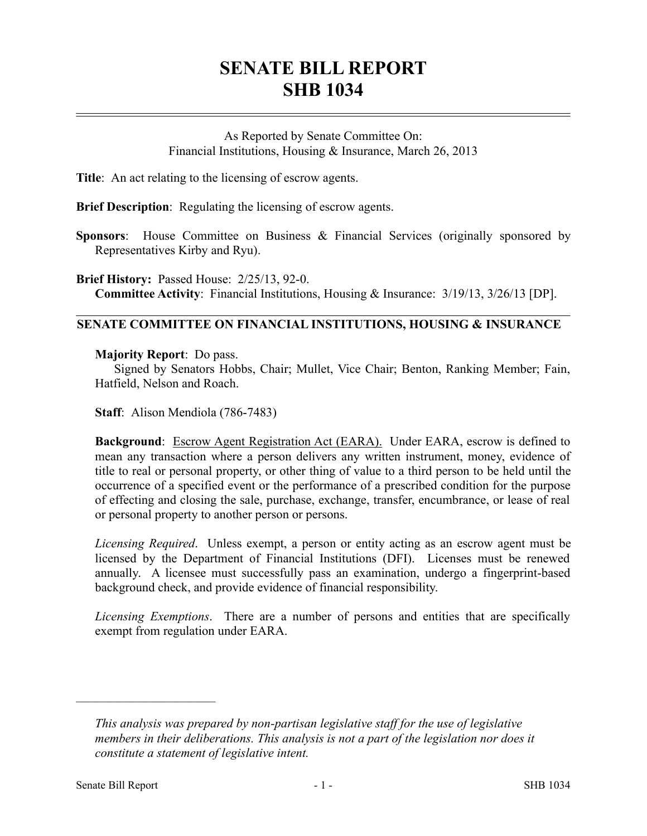## **SENATE BILL REPORT SHB 1034**

As Reported by Senate Committee On: Financial Institutions, Housing & Insurance, March 26, 2013

**Title**: An act relating to the licensing of escrow agents.

**Brief Description**: Regulating the licensing of escrow agents.

**Sponsors:** House Committee on Business & Financial Services (originally sponsored by Representatives Kirby and Ryu).

**Brief History:** Passed House: 2/25/13, 92-0. **Committee Activity**: Financial Institutions, Housing & Insurance: 3/19/13, 3/26/13 [DP].

## **SENATE COMMITTEE ON FINANCIAL INSTITUTIONS, HOUSING & INSURANCE**

**Majority Report**: Do pass.

Signed by Senators Hobbs, Chair; Mullet, Vice Chair; Benton, Ranking Member; Fain, Hatfield, Nelson and Roach.

**Staff**: Alison Mendiola (786-7483)

**Background**: Escrow Agent Registration Act (EARA). Under EARA, escrow is defined to mean any transaction where a person delivers any written instrument, money, evidence of title to real or personal property, or other thing of value to a third person to be held until the occurrence of a specified event or the performance of a prescribed condition for the purpose of effecting and closing the sale, purchase, exchange, transfer, encumbrance, or lease of real or personal property to another person or persons.

*Licensing Required*. Unless exempt, a person or entity acting as an escrow agent must be licensed by the Department of Financial Institutions (DFI). Licenses must be renewed annually. A licensee must successfully pass an examination, undergo a fingerprint-based background check, and provide evidence of financial responsibility.

*Licensing Exemptions*. There are a number of persons and entities that are specifically exempt from regulation under EARA.

––––––––––––––––––––––

*This analysis was prepared by non-partisan legislative staff for the use of legislative members in their deliberations. This analysis is not a part of the legislation nor does it constitute a statement of legislative intent.*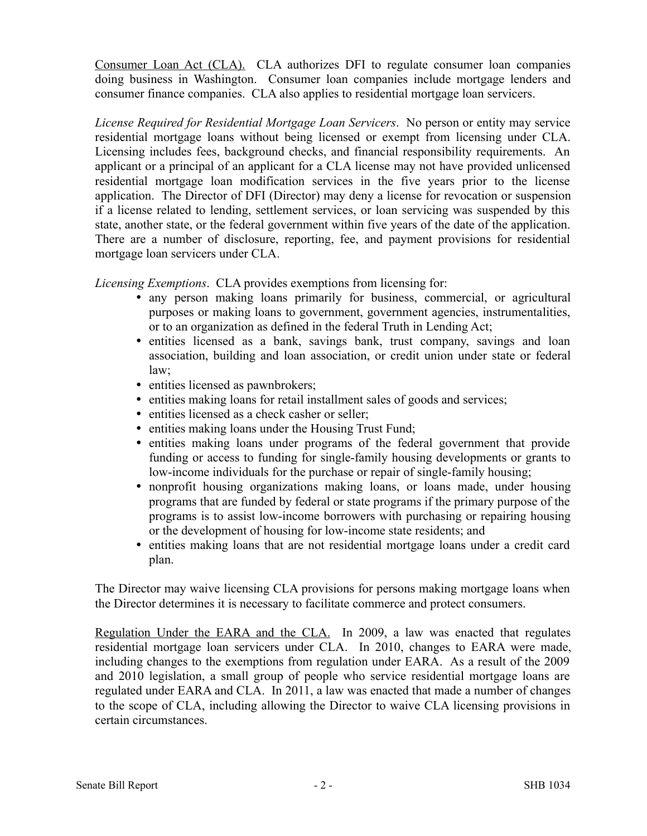Consumer Loan Act (CLA). CLA authorizes DFI to regulate consumer loan companies doing business in Washington. Consumer loan companies include mortgage lenders and consumer finance companies. CLA also applies to residential mortgage loan servicers.

*License Required for Residential Mortgage Loan Servicers*. No person or entity may service residential mortgage loans without being licensed or exempt from licensing under CLA. Licensing includes fees, background checks, and financial responsibility requirements. An applicant or a principal of an applicant for a CLA license may not have provided unlicensed residential mortgage loan modification services in the five years prior to the license application. The Director of DFI (Director) may deny a license for revocation or suspension if a license related to lending, settlement services, or loan servicing was suspended by this state, another state, or the federal government within five years of the date of the application. There are a number of disclosure, reporting, fee, and payment provisions for residential mortgage loan servicers under CLA.

*Licensing Exemptions*. CLA provides exemptions from licensing for:

- any person making loans primarily for business, commercial, or agricultural purposes or making loans to government, government agencies, instrumentalities, or to an organization as defined in the federal Truth in Lending Act;
- entities licensed as a bank, savings bank, trust company, savings and loan association, building and loan association, or credit union under state or federal law;
- entities licensed as pawnbrokers;
- entities making loans for retail installment sales of goods and services;
- entities licensed as a check casher or seller;
- entities making loans under the Housing Trust Fund;
- entities making loans under programs of the federal government that provide funding or access to funding for single-family housing developments or grants to low-income individuals for the purchase or repair of single-family housing;
- nonprofit housing organizations making loans, or loans made, under housing programs that are funded by federal or state programs if the primary purpose of the programs is to assist low-income borrowers with purchasing or repairing housing or the development of housing for low-income state residents; and
- entities making loans that are not residential mortgage loans under a credit card plan.

The Director may waive licensing CLA provisions for persons making mortgage loans when the Director determines it is necessary to facilitate commerce and protect consumers.

Regulation Under the EARA and the CLA. In 2009, a law was enacted that regulates residential mortgage loan servicers under CLA. In 2010, changes to EARA were made, including changes to the exemptions from regulation under EARA. As a result of the 2009 and 2010 legislation, a small group of people who service residential mortgage loans are regulated under EARA and CLA. In 2011, a law was enacted that made a number of changes to the scope of CLA, including allowing the Director to waive CLA licensing provisions in certain circumstances.